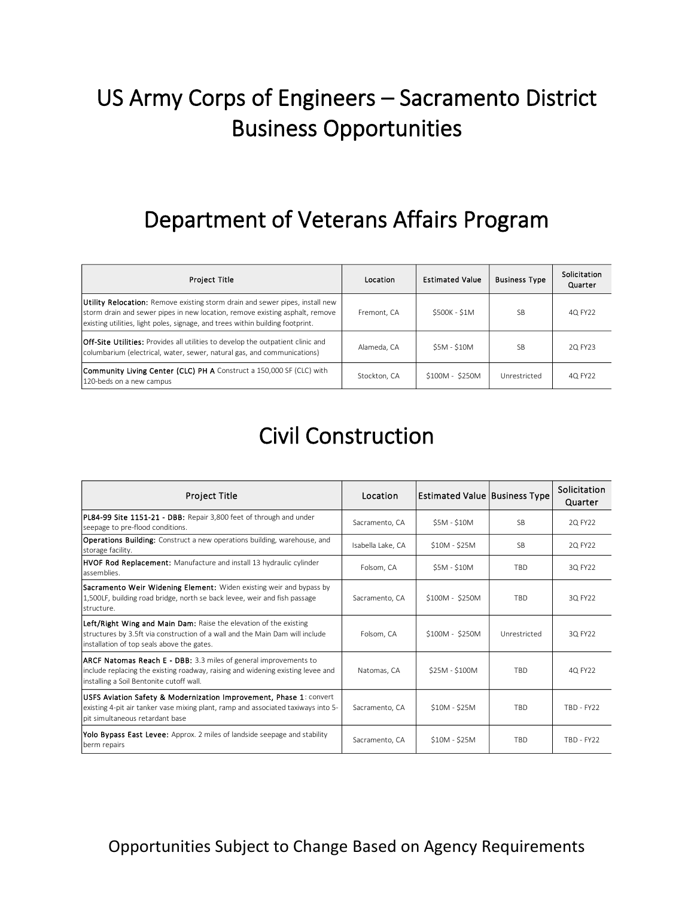## US Army Corps of Engineers – Sacramento District Business Opportunities

#### Department of Veterans Affairs Program

| <b>Project Title</b>                                                                                                                                                                                                                           | Location     | <b>Estimated Value</b> | <b>Business Type</b> | Solicitation<br>Quarter |
|------------------------------------------------------------------------------------------------------------------------------------------------------------------------------------------------------------------------------------------------|--------------|------------------------|----------------------|-------------------------|
| Utility Relocation: Remove existing storm drain and sewer pipes, install new<br>storm drain and sewer pipes in new location, remove existing asphalt, remove<br>existing utilities, light poles, signage, and trees within building footprint. | Fremont, CA  | \$500K - \$1M          | <b>SB</b>            | 4Q FY22                 |
| <b>Off-Site Utilities:</b> Provides all utilities to develop the outpatient clinic and<br>columbarium (electrical, water, sewer, natural gas, and communications)                                                                              | Alameda, CA  | \$5M - \$10M           | <b>SB</b>            | 2Q FY23                 |
| <b>Community Living Center (CLC) PH A</b> Construct a 150,000 SF (CLC) with<br>120-beds on a new campus                                                                                                                                        | Stockton, CA | \$100M - \$250M        | Unrestricted         | 4Q FY22                 |

#### Civil Construction

| <b>Project Title</b>                                                                                                                                                                                   | Location          | <b>Estimated Value Business Type</b> |              | Solicitation<br>Quarter |
|--------------------------------------------------------------------------------------------------------------------------------------------------------------------------------------------------------|-------------------|--------------------------------------|--------------|-------------------------|
| PL84-99 Site 1151-21 - DBB: Repair 3,800 feet of through and under<br>seepage to pre-flood conditions.                                                                                                 | Sacramento, CA    | <b>S5M - S10M</b>                    | <b>SB</b>    | 2Q FY22                 |
| <b>Operations Building:</b> Construct a new operations building, warehouse, and<br>storage facility.                                                                                                   | Isabella Lake, CA | \$10M - \$25M                        | <b>SB</b>    | 2Q FY22                 |
| <b>HVOF Rod Replacement:</b> Manufacture and install 13 hydraulic cylinder<br>assemblies.                                                                                                              | Folsom, CA        | $$5M - $10M$                         | TBD          | 3Q FY22                 |
| Sacramento Weir Widening Element: Widen existing weir and bypass by<br>1,500LF, building road bridge, north se back levee, weir and fish passage<br>structure.                                         | Sacramento, CA    | \$100M - \$250M                      | <b>TRD</b>   | 3Q FY22                 |
| Left/Right Wing and Main Dam: Raise the elevation of the existing<br>structures by 3.5ft via construction of a wall and the Main Dam will include<br>installation of top seals above the gates.        | Folsom, CA        | \$100M - \$250M                      | Unrestricted | 3Q FY22                 |
| <b>ARCF Natomas Reach E - DBB:</b> 3.3 miles of general improvements to<br>include replacing the existing roadway, raising and widening existing levee and<br>installing a Soil Bentonite cutoff wall. | Natomas, CA       | \$25M - \$100M                       | <b>TRD</b>   | 4Q FY22                 |
| USFS Aviation Safety & Modernization Improvement, Phase 1: convert<br>existing 4-pit air tanker vase mixing plant, ramp and associated taxiways into 5-<br>pit simultaneous retardant base             | Sacramento, CA    | \$10M - \$25M                        | TBD          | TBD - FY22              |
| Yolo Bypass East Levee: Approx. 2 miles of landside seepage and stability<br>berm repairs                                                                                                              | Sacramento, CA    | \$10M - \$25M                        | <b>TRD</b>   | $TBD - FY22$            |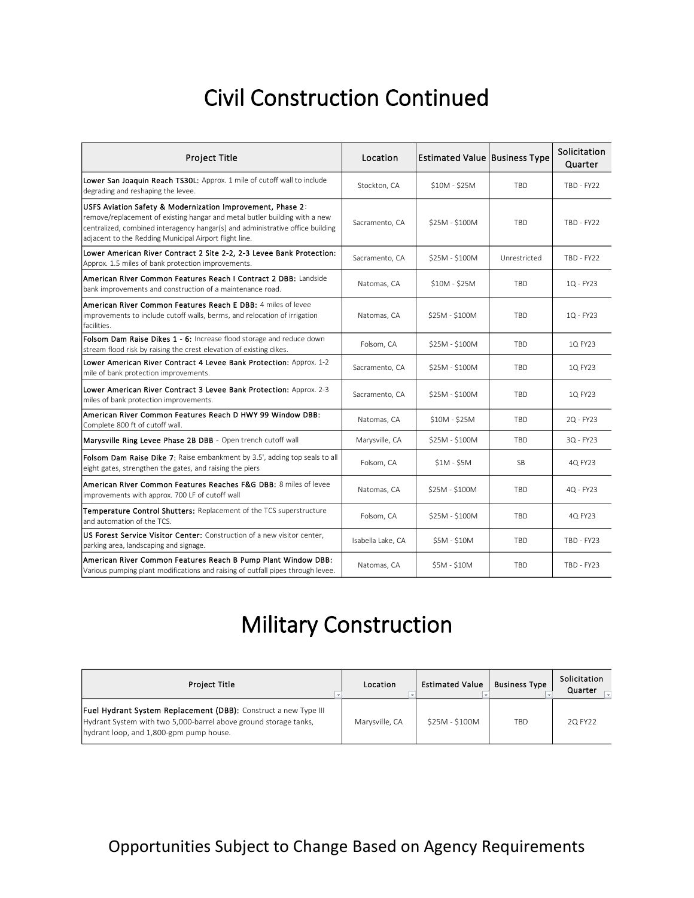### Civil Construction Continued

| <b>Project Title</b>                                                                                                                                                                                                                                                                 | Location          | <b>Estimated Value Business Type</b> |              | Solicitation<br>Quarter |
|--------------------------------------------------------------------------------------------------------------------------------------------------------------------------------------------------------------------------------------------------------------------------------------|-------------------|--------------------------------------|--------------|-------------------------|
| Lower San Joaquin Reach TS30L: Approx. 1 mile of cutoff wall to include<br>degrading and reshaping the levee.                                                                                                                                                                        | Stockton, CA      | \$10M - \$25M                        | TBD          | TBD - FY22              |
| USFS Aviation Safety & Modernization Improvement, Phase 2:<br>remove/replacement of existing hangar and metal butler building with a new<br>centralized, combined interagency hangar(s) and administrative office building<br>adjacent to the Redding Municipal Airport flight line. | Sacramento, CA    | \$25M - \$100M                       | TBD          | <b>TBD - FY22</b>       |
| Lower American River Contract 2 Site 2-2, 2-3 Levee Bank Protection:<br>Approx. 1.5 miles of bank protection improvements.                                                                                                                                                           | Sacramento, CA    | $$25M - $100M$                       | Unrestricted | <b>TBD - FY22</b>       |
| American River Common Features Reach I Contract 2 DBB: Landside<br>bank improvements and construction of a maintenance road.                                                                                                                                                         | Natomas, CA       | \$10M - \$25M                        | <b>TBD</b>   | 1Q - FY23               |
| American River Common Features Reach E DBB: 4 miles of levee<br>improvements to include cutoff walls, berms, and relocation of irrigation<br>facilities.                                                                                                                             | Natomas, CA       | $$25M - $100M$                       | TBD          | 1Q - FY23               |
| Folsom Dam Raise Dikes 1 - 6: Increase flood storage and reduce down<br>stream flood risk by raising the crest elevation of existing dikes.                                                                                                                                          | Folsom, CA        | \$25M - \$100M                       | <b>TBD</b>   | 1Q FY23                 |
| Lower American River Contract 4 Levee Bank Protection: Approx. 1-2<br>mile of bank protection improvements.                                                                                                                                                                          | Sacramento, CA    | \$25M - \$100M                       | <b>TBD</b>   | 1Q FY23                 |
| Lower American River Contract 3 Levee Bank Protection: Approx. 2-3<br>miles of bank protection improvements.                                                                                                                                                                         | Sacramento, CA    | \$25M - \$100M                       | TBD          | 10 FY23                 |
| American River Common Features Reach D HWY 99 Window DBB:<br>Complete 800 ft of cutoff wall.                                                                                                                                                                                         | Natomas, CA       | \$10M - \$25M                        | <b>TBD</b>   | 2Q - FY23               |
| Marysville Ring Levee Phase 2B DBB - Open trench cutoff wall                                                                                                                                                                                                                         | Marysville, CA    | \$25M - \$100M                       | TBD          | 3Q - FY23               |
| Folsom Dam Raise Dike 7: Raise embankment by 3.5', adding top seals to all<br>eight gates, strengthen the gates, and raising the piers                                                                                                                                               | Folsom, CA        | $$1M - $5M$                          | SB           | 4Q FY23                 |
| American River Common Features Reaches F&G DBB: 8 miles of levee<br>improvements with approx. 700 LF of cutoff wall                                                                                                                                                                  | Natomas, CA       | \$25M - \$100M                       | TBD          | 4Q - FY23               |
| Temperature Control Shutters: Replacement of the TCS superstructure<br>and automation of the TCS.                                                                                                                                                                                    | Folsom, CA        | \$25M - \$100M                       | TBD          | 4Q FY23                 |
| US Forest Service Visitor Center: Construction of a new visitor center,<br>parking area, landscaping and signage.                                                                                                                                                                    | Isabella Lake, CA | $$5M - $10M$                         | <b>TBD</b>   | TBD - FY23              |
| American River Common Features Reach B Pump Plant Window DBB:<br>Various pumping plant modifications and raising of outfall pipes through levee.                                                                                                                                     | Natomas, CA       | \$5M - \$10M                         | TBD          | TBD - FY23              |

## Military Construction

| <b>Project Title</b>                                                                                                                                                                  | Location       | <b>Estimated Value</b> | <b>Business Type</b> | Solicitation<br>Quarter |
|---------------------------------------------------------------------------------------------------------------------------------------------------------------------------------------|----------------|------------------------|----------------------|-------------------------|
| <b>Fuel Hydrant System Replacement (DBB):</b> Construct a new Type III<br>Hydrant System with two 5,000-barrel above ground storage tanks,<br>hydrant loop, and 1,800-gpm pump house. | Marysville, CA | \$25M - \$100M         | TBD                  | 2Q FY22                 |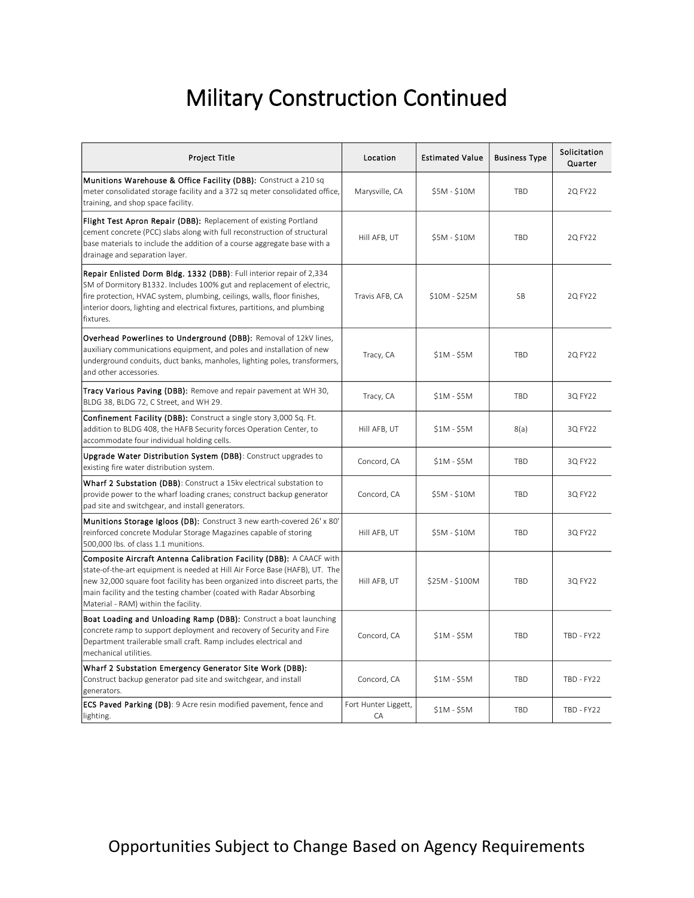## Military Construction Continued

| Project Title                                                                                                                                                                                                                                                                                                                                   | Location                   | <b>Estimated Value</b> | <b>Business Type</b> | Solicitation<br>Quarter |
|-------------------------------------------------------------------------------------------------------------------------------------------------------------------------------------------------------------------------------------------------------------------------------------------------------------------------------------------------|----------------------------|------------------------|----------------------|-------------------------|
| Munitions Warehouse & Office Facility (DBB): Construct a 210 sq<br>meter consolidated storage facility and a 372 sq meter consolidated office,<br>training, and shop space facility.                                                                                                                                                            | Marysville, CA             | $$5M - $10M$           | <b>TRD</b>           | 2Q FY22                 |
| Flight Test Apron Repair (DBB): Replacement of existing Portland<br>cement concrete (PCC) slabs along with full reconstruction of structural<br>base materials to include the addition of a course aggregate base with a<br>drainage and separation layer.                                                                                      | Hill AFB, UT               | \$5M - \$10M           | <b>TBD</b>           | 2Q FY22                 |
| Repair Enlisted Dorm Bldg. 1332 (DBB): Full interior repair of 2,334<br>SM of Dormitory B1332. Includes 100% gut and replacement of electric,<br>fire protection, HVAC system, plumbing, ceilings, walls, floor finishes,<br>interior doors, lighting and electrical fixtures, partitions, and plumbing<br>fixtures.                            | Travis AFB, CA             | $$10M - $25M$          | SB                   | 2Q FY22                 |
| Overhead Powerlines to Underground (DBB): Removal of 12kV lines,<br>auxiliary communications equipment, and poles and installation of new<br>underground conduits, duct banks, manholes, lighting poles, transformers,<br>and other accessories.                                                                                                | Tracy, CA                  | $$1M - $5M$            | <b>TBD</b>           | 2Q FY22                 |
| Tracy Various Paving (DBB): Remove and repair pavement at WH 30,<br>BLDG 38, BLDG 72, C Street, and WH 29.                                                                                                                                                                                                                                      | Tracy, CA                  | $$1M - $5M$            | <b>TBD</b>           | 3Q FY22                 |
| Confinement Facility (DBB): Construct a single story 3,000 Sq. Ft.<br>addition to BLDG 408, the HAFB Security forces Operation Center, to<br>accommodate four individual holding cells.                                                                                                                                                         | Hill AFB, UT               | $$1M - $5M$            | 8(a)                 | 3Q FY22                 |
| Upgrade Water Distribution System (DBB): Construct upgrades to<br>existing fire water distribution system.                                                                                                                                                                                                                                      | Concord, CA                | $$1M - $5M$            | TBD                  | 3Q FY22                 |
| Wharf 2 Substation (DBB): Construct a 15kv electrical substation to<br>provide power to the wharf loading cranes; construct backup generator<br>pad site and switchgear, and install generators.                                                                                                                                                | Concord, CA                | \$5M - \$10M           | <b>TBD</b>           | 3Q FY22                 |
| Munitions Storage Igloos (DB): Construct 3 new earth-covered 26' x 80'<br>reinforced concrete Modular Storage Magazines capable of storing<br>500,000 lbs. of class 1.1 munitions.                                                                                                                                                              | Hill AFB, UT               | \$5M - \$10M           | <b>TBD</b>           | 3Q FY22                 |
| Composite Aircraft Antenna Calibration Facility (DBB): A CAACF with<br>state-of-the-art equipment is needed at Hill Air Force Base (HAFB), UT. The<br>new 32,000 square foot facility has been organized into discreet parts, the<br>main facility and the testing chamber (coated with Radar Absorbing<br>Material - RAM) within the facility. | Hill AFB, UT               | \$25M - \$100M         | <b>TBD</b>           | 3Q FY22                 |
| <b>Boat Loading and Unloading Ramp (DBB):</b> Construct a boat launching<br>concrete ramp to support deployment and recovery of Security and Fire<br>Department trailerable small craft. Ramp includes electrical and<br>mechanical utilities.                                                                                                  | Concord, CA                | $$1M - $5M$            | <b>TBD</b>           | TBD - FY22              |
| Wharf 2 Substation Emergency Generator Site Work (DBB):<br>Construct backup generator pad site and switchgear, and install<br>generators.                                                                                                                                                                                                       | Concord, CA                | $$1M - $5M$            | TBD                  | TBD - FY22              |
| <b>ECS Paved Parking (DB)</b> : 9 Acre resin modified pavement, fence and<br>lighting.                                                                                                                                                                                                                                                          | Fort Hunter Liggett,<br>CA | $$1M - $5M$            | TBD                  | TBD - FY22              |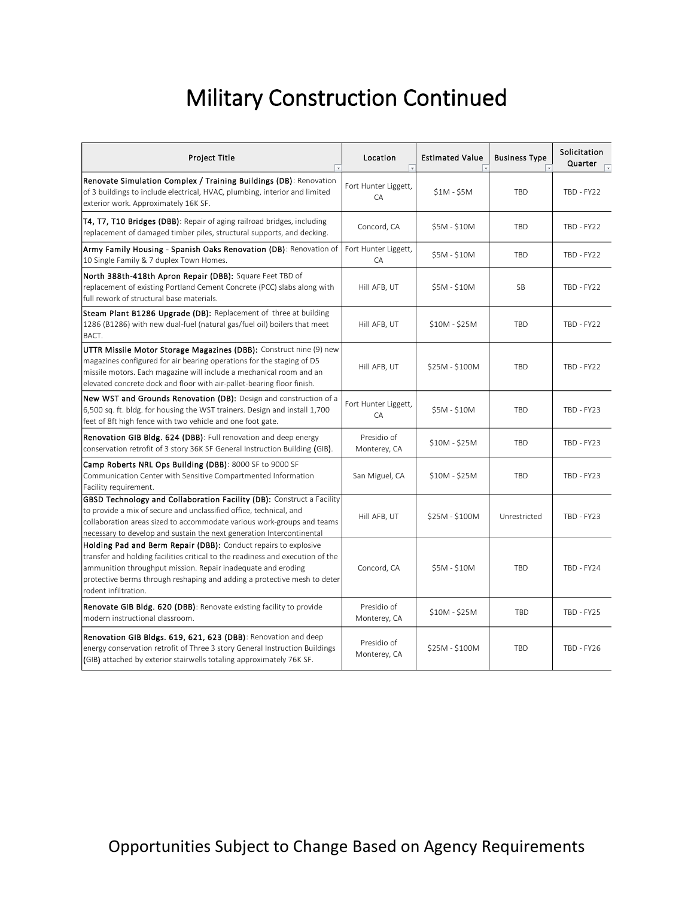## Military Construction Continued

| <b>Project Title</b><br>⋤                                                                                                                                                                                                                                                                                             | Location<br>$\overline{ }$  | <b>Estimated Value</b> | <b>Business Type</b> | Solicitation<br>Quarter |
|-----------------------------------------------------------------------------------------------------------------------------------------------------------------------------------------------------------------------------------------------------------------------------------------------------------------------|-----------------------------|------------------------|----------------------|-------------------------|
| Renovate Simulation Complex / Training Buildings (DB): Renovation<br>of 3 buildings to include electrical, HVAC, plumbing, interior and limited<br>exterior work. Approximately 16K SF.                                                                                                                               | Fort Hunter Liggett,<br>CA  | $$1M - $5M$            | <b>TBD</b>           | TBD - FY22              |
| T4, T7, T10 Bridges (DBB): Repair of aging railroad bridges, including<br>replacement of damaged timber piles, structural supports, and decking.                                                                                                                                                                      | Concord, CA                 | \$5M - \$10M           | TBD                  | TBD - FY22              |
| Army Family Housing - Spanish Oaks Renovation (DB): Renovation of<br>10 Single Family & 7 duplex Town Homes.                                                                                                                                                                                                          | Fort Hunter Liggett,<br>CA  | \$5M - \$10M           | <b>TBD</b>           | TBD - FY22              |
| North 388th-418th Apron Repair (DBB): Square Feet TBD of<br>replacement of existing Portland Cement Concrete (PCC) slabs along with<br>full rework of structural base materials.                                                                                                                                      | Hill AFB, UT                | \$5M - \$10M           | <b>SB</b>            | TBD - FY22              |
| Steam Plant B1286 Upgrade (DB): Replacement of three at building<br>1286 (B1286) with new dual-fuel (natural gas/fuel oil) boilers that meet<br>BACT.                                                                                                                                                                 | Hill AFB, UT                | $$10M - $25M$          | <b>TBD</b>           | TBD - FY22              |
| UTTR Missile Motor Storage Magazines (DBB): Construct nine (9) new<br>magazines configured for air bearing operations for the staging of D5<br>missile motors. Each magazine will include a mechanical room and an<br>elevated concrete dock and floor with air-pallet-bearing floor finish.                          | Hill AFB, UT                | \$25M - \$100M         | TBD                  | TBD - FY22              |
| New WST and Grounds Renovation (DB): Design and construction of a<br>6,500 sq. ft. bldg. for housing the WST trainers. Design and install 1,700<br>feet of 8ft high fence with two vehicle and one foot gate.                                                                                                         | Fort Hunter Liggett,<br>CA  | \$5M - \$10M           | <b>TBD</b>           | TBD - FY23              |
| <b>Renovation GIB Bldg. 624 (DBB)</b> : Full renovation and deep energy<br>conservation retrofit of 3 story 36K SF General Instruction Building (GIB).                                                                                                                                                                | Presidio of<br>Monterey, CA | $$10M - $25M$          | TBD                  | TBD - FY23              |
| Camp Roberts NRL Ops Building (DBB): 8000 SF to 9000 SF<br>Communication Center with Sensitive Compartmented Information<br>Facility requirement.                                                                                                                                                                     | San Miguel, CA              | $$10M - $25M$          | <b>TBD</b>           | TBD - FY23              |
| GBSD Technology and Collaboration Facility (DB): Construct a Facility<br>to provide a mix of secure and unclassified office, technical, and<br>collaboration areas sized to accommodate various work-groups and teams<br>necessary to develop and sustain the next generation Intercontinental                        | Hill AFB, UT                | \$25M - \$100M         | Unrestricted         | TBD - FY23              |
| Holding Pad and Berm Repair (DBB): Conduct repairs to explosive<br>transfer and holding facilities critical to the readiness and execution of the<br>ammunition throughput mission. Repair inadequate and eroding<br>protective berms through reshaping and adding a protective mesh to deter<br>rodent infiltration. | Concord, CA                 | \$5M - \$10M           | <b>TBD</b>           | TBD - FY24              |
| <b>Renovate GIB Bldg. 620 (DBB):</b> Renovate existing facility to provide<br>modern instructional classroom.                                                                                                                                                                                                         | Presidio of<br>Monterey, CA | $$10M - $25M$          | <b>TBD</b>           | TBD - FY25              |
| Renovation GIB Bldgs. 619, 621, 623 (DBB): Renovation and deep<br>energy conservation retrofit of Three 3 story General Instruction Buildings<br>(GIB) attached by exterior stairwells totaling approximately 76K SF.                                                                                                 | Presidio of<br>Monterey, CA | \$25M - \$100M         | <b>TBD</b>           | TBD - FY26              |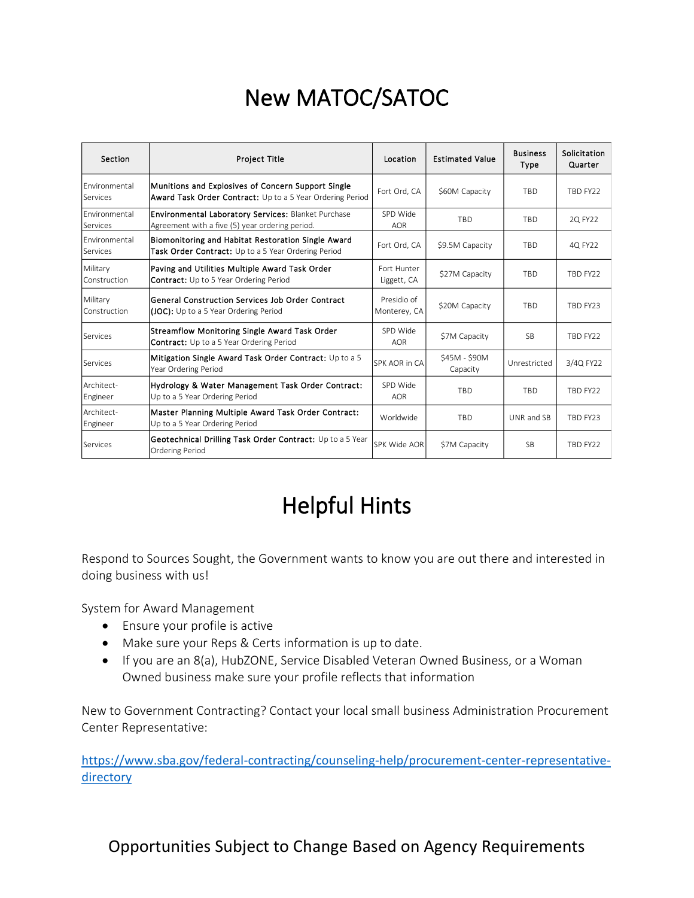## New MATOC/SATOC

| Section                   | <b>Project Title</b>                                                                                            | Location                    | <b>Estimated Value</b>    | <b>Business</b><br>Type | Solicitation<br>Quarter |
|---------------------------|-----------------------------------------------------------------------------------------------------------------|-----------------------------|---------------------------|-------------------------|-------------------------|
| Environmental<br>Services | Munitions and Explosives of Concern Support Single<br>Award Task Order Contract: Up to a 5 Year Ordering Period | Fort Ord. CA                | \$60M Capacity            | <b>TBD</b>              | TBD FY22                |
| Environmental<br>Services | <b>Environmental Laboratory Services: Blanket Purchase</b><br>Agreement with a five (5) year ordering period.   | SPD Wide<br><b>AOR</b>      | <b>TRD</b>                | <b>TBD</b>              | 2Q FY22                 |
| Environmental<br>Services | Biomonitoring and Habitat Restoration Single Award<br>Task Order Contract: Up to a 5 Year Ordering Period       | Fort Ord. CA                | \$9.5M Capacity           | <b>TBD</b>              | 4Q FY22                 |
| Military<br>Construction  | Paving and Utilities Multiple Award Task Order<br><b>Contract:</b> Up to 5 Year Ordering Period                 | Fort Hunter<br>Liggett, CA  | \$27M Capacity            | <b>TBD</b>              | TBD FY22                |
| Military<br>Construction  | General Construction Services Job Order Contract<br>(JOC): Up to a 5 Year Ordering Period                       | Presidio of<br>Monterey, CA | \$20M Capacity            | <b>TBD</b>              | TBD FY23                |
| Services                  | Streamflow Monitoring Single Award Task Order<br><b>Contract:</b> Up to a 5 Year Ordering Period                | SPD Wide<br><b>AOR</b>      | \$7M Capacity             | <b>SB</b>               | TBD FY22                |
| Services                  | Mitigation Single Award Task Order Contract: Up to a 5<br>Year Ordering Period                                  | SPK AOR in CA               | \$45M - \$90M<br>Capacity | Unrestricted            | 3/4Q FY22               |
| Architect-<br>Engineer    | Hydrology & Water Management Task Order Contract:<br>Up to a 5 Year Ordering Period                             | SPD Wide<br><b>AOR</b>      | TBD                       | <b>TBD</b>              | TBD FY22                |
| Architect-<br>Engineer    | Master Planning Multiple Award Task Order Contract:<br>Up to a 5 Year Ordering Period                           | Worldwide                   | TBD                       | UNR and SB              | TBD FY23                |
| Services                  | Geotechnical Drilling Task Order Contract: Up to a 5 Year<br><b>Ordering Period</b>                             | SPK Wide AOR                | \$7M Capacity             | SB.                     | TBD FY22                |

# Helpful Hints

Respond to Sources Sought, the Government wants to know you are out there and interested in doing business with us!

System for Award Management

- Ensure your profile is active
- Make sure your Reps & Certs information is up to date.
- If you are an 8(a), HubZONE, Service Disabled Veteran Owned Business, or a Woman Owned business make sure your profile reflects that information

New to Government Contracting? Contact your local small business Administration Procurement Center Representative:

[https://www.sba.gov/federal-contracting/counseling-help/procurement-center-representative](https://www.sba.gov/federal-contracting/counseling-help/procurement-center-representative-directory)[directory](https://www.sba.gov/federal-contracting/counseling-help/procurement-center-representative-directory)

Opportunities Subject to Change Based on Agency Requirements